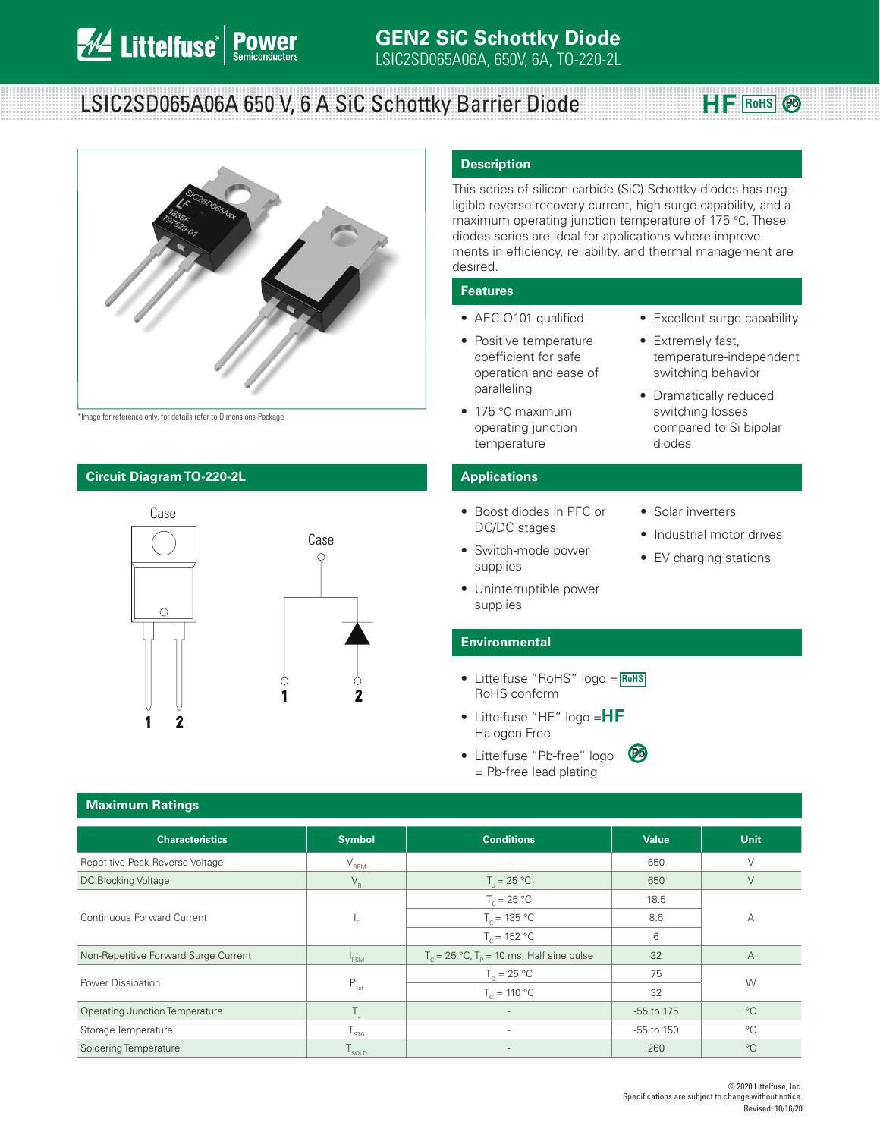## LSIC2SD065A06A 650 V, 6 A SiC Schottky Barrier Diode



\*Image for reference only, for details refer to Dimensions-Package

### **Circuit Diagram TO-220-2L Applications**



### **Description**

This series of silicon carbide (SiC) Schottky diodes has negligible reverse recovery current, high surge capability, and a maximum operating junction temperature of 175 °C. These diodes series are ideal for applications where improvements in efficiency, reliability, and thermal management are desired.

### **Features**

- AEC-Q101 qualified
- Positive temperature coefficient for safe operation and ease of paralleling
- 175 °C maximum operating junction temperature
- Excellent surge capability

 $H$ **F** RoHS  $\odot$ 

- Extremely fast, temperature-independent switching behavior
- Dramatically reduced switching losses compared to Si bipolar diodes

supplies

• Boost diodes in PFC or DC/DC stages

• Switch-mode power

- Solar inverters
- Industrial motor drives
- EV charging stations
- Uninterruptible power supplies

### **Environmental**

- Littelfuse "RoHS" logo = **RoHS** RoHS conform
- Littelfuse "HF" logo  $=\mathsf{HF}$ Halogen Free
- Littelfuse "Pb-free" logo = Pb-free lead plating **Pb**

| <b>Maximum Ratings</b>                |                        |                                                                 |                |             |  |
|---------------------------------------|------------------------|-----------------------------------------------------------------|----------------|-------------|--|
| <b>Characteristics</b>                | <b>Symbol</b>          | <b>Conditions</b>                                               | Value          | <b>Unit</b> |  |
| Repetitive Peak Reverse Voltage       | $V_{\rm RRM}$          | $\overline{\phantom{a}}$                                        | 650            | $\vee$      |  |
| DC Blocking Voltage                   | $V_R$                  | $T_i = 25 °C$                                                   | 650            | $\vee$      |  |
| Continuous Forward Current            |                        | $T_c = 25 °C$                                                   | 18.5           | А           |  |
|                                       | ۱.                     | $T_c = 135 °C$                                                  | 8.6            |             |  |
|                                       |                        | $T_c = 152 °C$                                                  | 6              |             |  |
| Non-Repetitive Forward Surge Current  | <sup>1</sup> FSM       | $T_c = 25 \text{ °C}$ , $T_p = 10 \text{ ms}$ , Half sine pulse | 32             | А           |  |
| Power Dissipation                     |                        | $T_c = 25 °C$                                                   | 75             |             |  |
|                                       | $P_{\text{Tot}}$       | $T_c = 110 °C$                                                  | 32             | W           |  |
| <b>Operating Junction Temperature</b> | $T_{\rm{a}}$           | $\overline{\phantom{a}}$                                        | -55 to 175     | $^{\circ}C$ |  |
| Storage Temperature                   | ${\sf T}_{\text{STG}}$ | $\sim$                                                          | $-55$ to $150$ | $^{\circ}C$ |  |
| Soldering Temperature                 | SOLD                   |                                                                 | 260            | $^{\circ}C$ |  |

### **Maximum Ratings**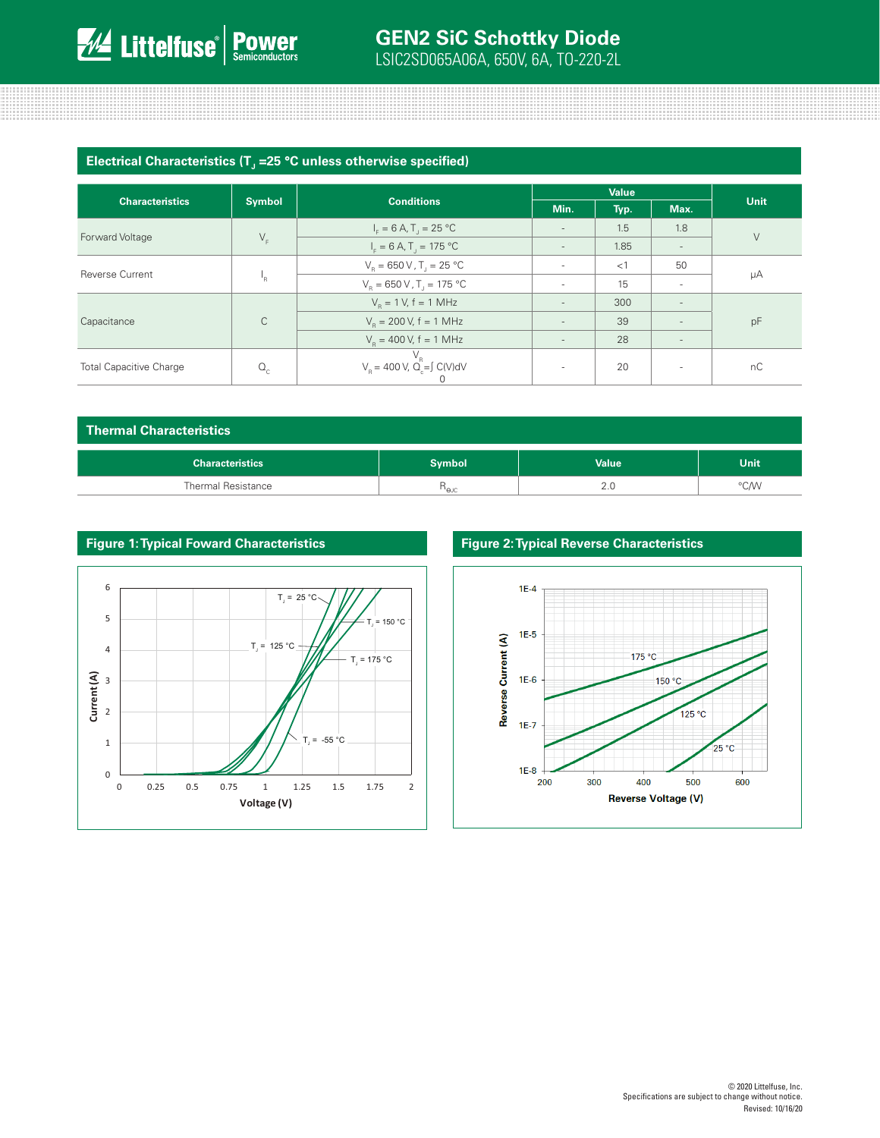## **GEN2 SiC Schottky Diode**

LSIC2SD065A06A, 650V, 6A, TO-220-2L

| Electrical Characteristics (T <sub>J</sub> =25 °C unless otherwise specified) |  |  |
|-------------------------------------------------------------------------------|--|--|
|-------------------------------------------------------------------------------|--|--|

|                                |               | <b>Conditions</b>                                          | <b>Value</b>             |      |                          |             |
|--------------------------------|---------------|------------------------------------------------------------|--------------------------|------|--------------------------|-------------|
| <b>Characteristics</b>         | <b>Symbol</b> |                                                            | Min.                     | Typ. | Max.                     | <b>Unit</b> |
| <b>Forward Voltage</b>         | $V_F$         | $I_c = 6 A$ , T <sub>1</sub> = 25 °C                       |                          | 1.5  | 1.8                      | $\vee$      |
|                                |               | $I_F = 6 A, T_J = 175 °C$                                  | $\overline{\phantom{a}}$ | 1.85 | $\overline{\phantom{a}}$ |             |
| <b>Reverse Current</b>         |               | $V_R = 650 V, T = 25 °C$                                   |                          | <1   | 50                       | μA          |
|                                | 'R            | $V_e = 650 V$ , T <sub>1</sub> = 175 °C                    |                          | 15   | $\overline{\phantom{a}}$ |             |
| Capacitance                    |               | $V_{\rm B} = 1$ V, f = 1 MHz                               | $\overline{\phantom{a}}$ | 300  | $\overline{\phantom{a}}$ | pF          |
|                                | C             | $V_p = 200 V$ , f = 1 MHz                                  |                          | 39   | ٠                        |             |
|                                |               | $V_p = 400 V$ , f = 1 MHz                                  |                          | 28   | $\overline{\phantom{a}}$ |             |
| <b>Total Capacitive Charge</b> | $Q_c$         | $V_R$<br>V <sub>R</sub> = 400 V, Q <sub>c</sub> = ∫ C(V)dV | $\sim$                   | 20   | $\overline{\phantom{a}}$ | nC          |

| <b>Thermal Characteristics</b> |              |             |  |  |  |  |
|--------------------------------|--------------|-------------|--|--|--|--|
| <b>Symbol</b>                  | <b>Value</b> | <b>Unit</b> |  |  |  |  |
| $n_{\rm euc}$                  | 2.0          | °C/W        |  |  |  |  |
|                                |              |             |  |  |  |  |



### **Figure 1: Typical Foward Characteristics Figure 2: Typical Reverse Characteristics**

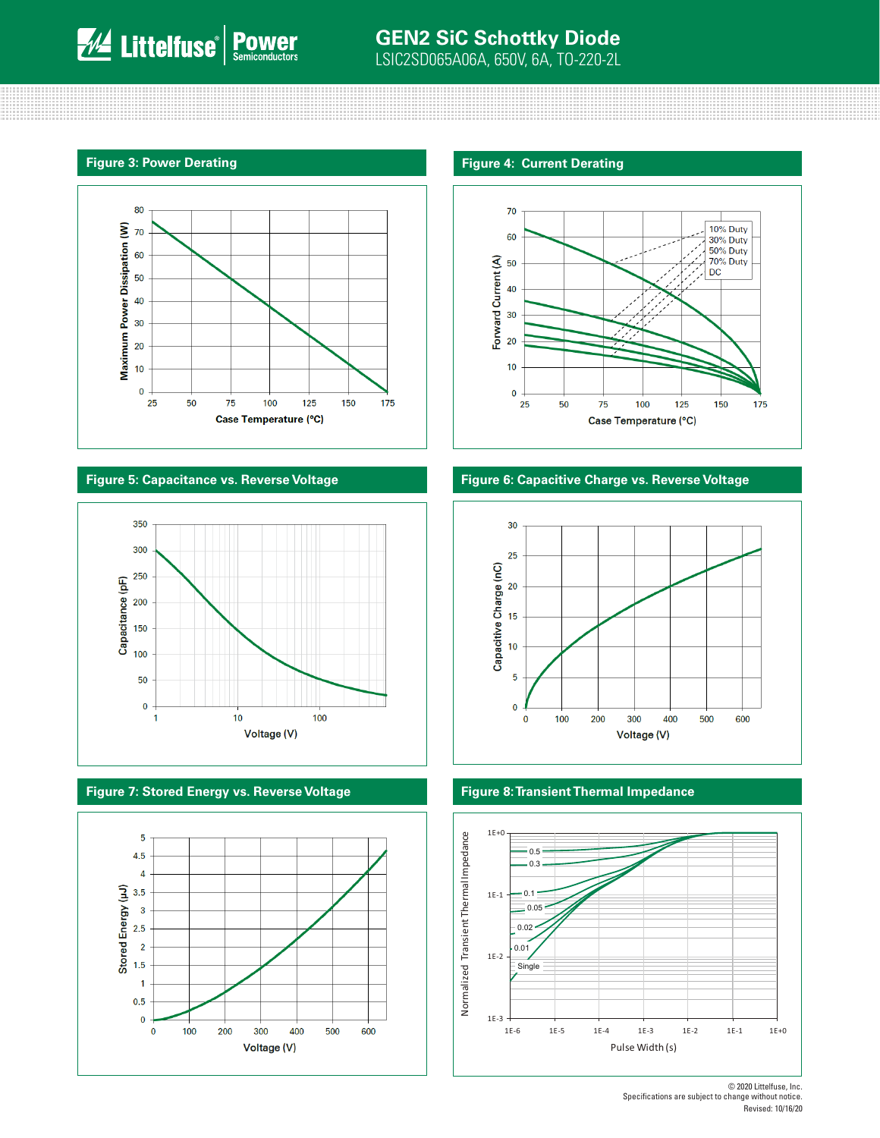# **WA Littelfuse POWEr**







### **Figure 7: Stored Energy vs. Reverse Voltage Figure 8: Transient Thermal Impedance**





### **Figure 5: Capacitance vs. Reverse Voltage Figure 6: Capacitive Charge vs. Reverse Voltage**





<sup>© 2020</sup> Littelfuse, Inc. Specifications are subject to change without notice. Revised: 10/16/20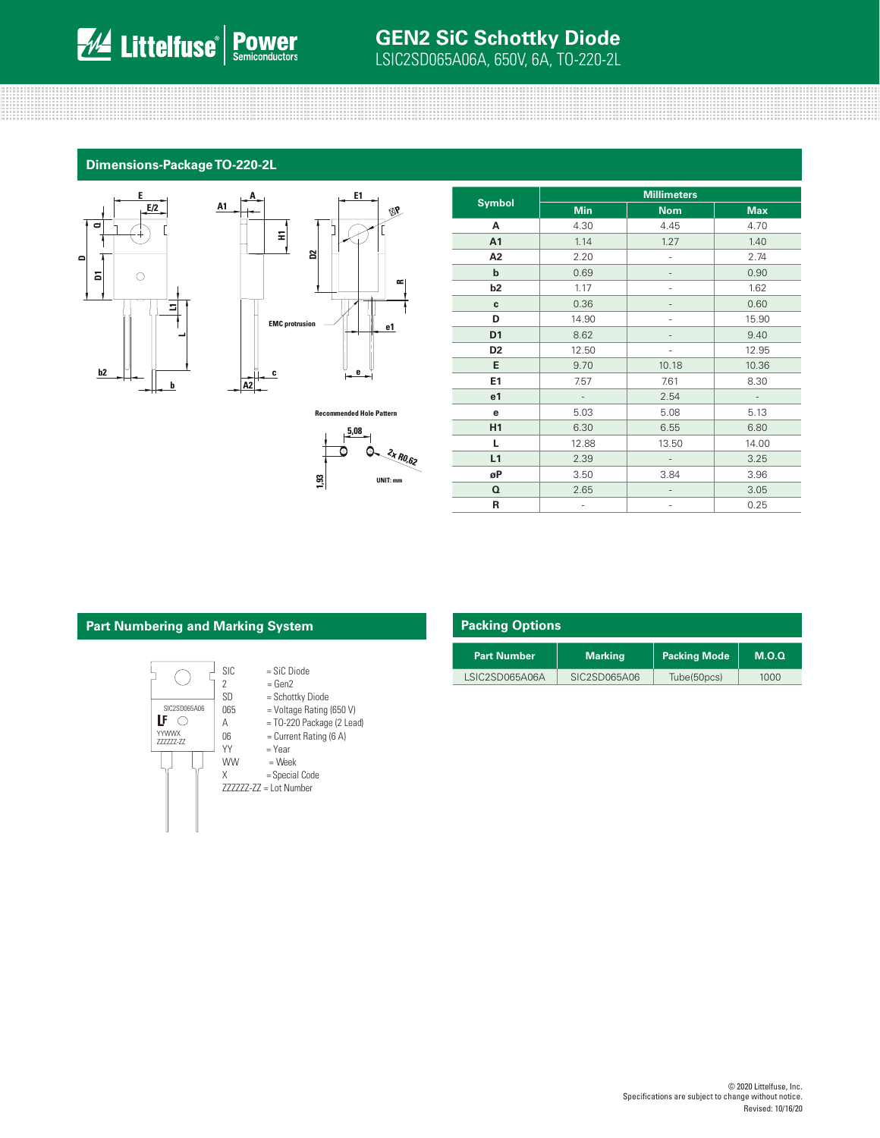# **WE Littelfuse POWEr**

### **GEN2 SiC Schottky Diode** LSIC2SD065A06A, 650V, 6A, TO-220-2L

### **Dimensions-Package TO-220-2L**

**A1**





**Recommended Hole Pattern**



| <b>Symbol</b>  | <b>Millimeters</b>       |            |                          |  |  |
|----------------|--------------------------|------------|--------------------------|--|--|
|                | <b>Min</b>               | <b>Nom</b> | <b>Max</b>               |  |  |
| А              | 4.30                     | 4.45       | 4.70                     |  |  |
| A <sub>1</sub> | 1.14                     | 1.27       | 1.40                     |  |  |
| A <sub>2</sub> | 2.20                     |            | 2.74                     |  |  |
| $\mathbf b$    | 0.69                     |            | 0.90                     |  |  |
| b <sub>2</sub> | 1.17                     |            | 1.62                     |  |  |
| C              | 0.36                     |            | 0.60                     |  |  |
| D              | 14.90                    |            | 15.90                    |  |  |
| D <sub>1</sub> | 8.62                     |            | 9.40                     |  |  |
| D <sub>2</sub> | 12.50                    |            | 12.95                    |  |  |
| E              | 9.70                     | 10.18      | 10.36                    |  |  |
| E1             | 7.57                     | 7.61       | 8.30                     |  |  |
| e <sub>1</sub> | $\overline{\phantom{a}}$ | 2.54       | $\overline{\phantom{a}}$ |  |  |
| е              | 5.03                     | 5.08       | 5.13                     |  |  |
| H <sub>1</sub> | 6.30                     | 6.55       | 6.80                     |  |  |
| L              | 12.88                    | 13.50      | 14.00                    |  |  |
| L1             | 2.39                     |            | 3.25                     |  |  |
| øP             | 3.50                     | 3.84       | 3.96                     |  |  |
| Q              | 2.65                     |            | 3.05                     |  |  |
| R              |                          |            | 0.25                     |  |  |

### **Part Numbering and Marking System**



|     | larking System                 |                    | <b>Packing Options</b> |                     |       |  |  |
|-----|--------------------------------|--------------------|------------------------|---------------------|-------|--|--|
|     |                                | <b>Part Number</b> | <b>Marking</b>         | <b>Packing Mode</b> | M.O.Q |  |  |
| SIC | $=$ SiC Diode<br>$\sim$ $\sim$ | LSIC2SD065A06A     | SIC2SD065A06           | Tube(50pcs)         | 1000  |  |  |

### © 2020 Littelfuse, Inc. Specifications are subject to change without notice. Revised: 10/16/20